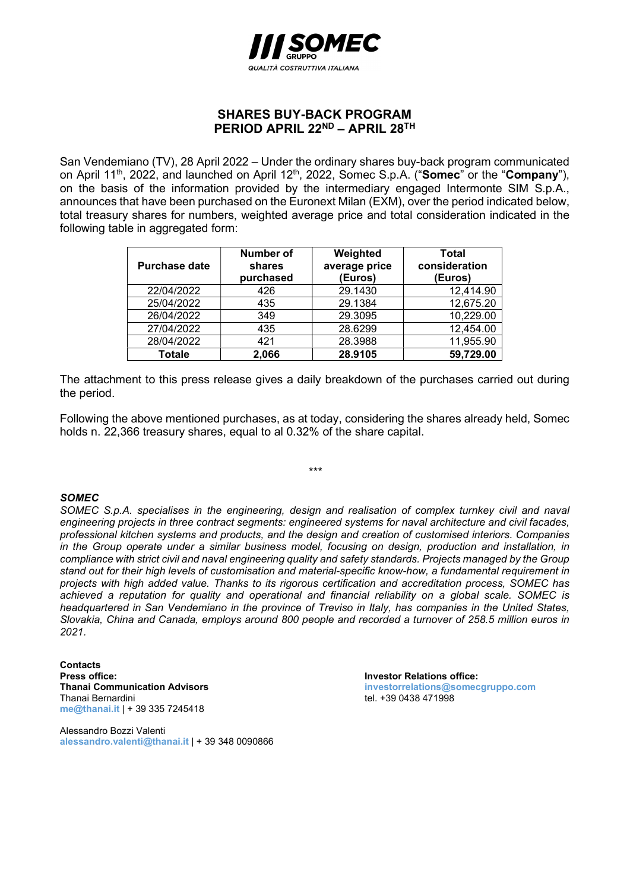

## SHARES BUY-BACK PROGRAM PERIOD APRIL 22<sup>ND</sup> - APRIL 28<sup>TH</sup>

San Vendemiano (TV), 28 April 2022 – Under the ordinary shares buy-back program communicated on April 11<sup>th</sup>, 2022, and launched on April 12<sup>th</sup>, 2022, Somec S.p.A. ("Somec" or the "Company"), on the basis of the information provided by the intermediary engaged Intermonte SIM S.p.A., announces that have been purchased on the Euronext Milan (EXM), over the period indicated below, total treasury shares for numbers, weighted average price and total consideration indicated in the following table in aggregated form:

| <b>Purchase date</b> | <b>Number of</b><br>shares<br>purchased | Weighted<br>average price<br>(Euros) | Total<br>consideration<br>(Euros) |
|----------------------|-----------------------------------------|--------------------------------------|-----------------------------------|
| 22/04/2022           | 426                                     | 29.1430                              | 12,414.90                         |
| 25/04/2022           | 435                                     | 29.1384                              | 12,675.20                         |
| 26/04/2022           | 349                                     | 29.3095                              | 10,229.00                         |
| 27/04/2022           | 435                                     | 28.6299                              | 12,454.00                         |
| 28/04/2022           | 421                                     | 28.3988                              | 11,955.90                         |
| Totale               | 2,066                                   | 28.9105                              | 59,729.00                         |

The attachment to this press release gives a daily breakdown of the purchases carried out during the period.

Following the above mentioned purchases, as at today, considering the shares already held, Somec holds n. 22,366 treasury shares, equal to al 0.32% of the share capital.

\*\*\*

## **SOMEC**

SOMEC S.p.A. specialises in the engineering, design and realisation of complex turnkey civil and naval engineering projects in three contract segments: engineered systems for naval architecture and civil facades, professional kitchen systems and products, and the design and creation of customised interiors. Companies in the Group operate under a similar business model, focusing on design, production and installation, in compliance with strict civil and naval engineering quality and safety standards. Projects managed by the Group stand out for their high levels of customisation and material-specific know-how, a fundamental requirement in projects with high added value. Thanks to its rigorous certification and accreditation process, SOMEC has achieved a reputation for quality and operational and financial reliability on a global scale. SOMEC is headquartered in San Vendemiano in the province of Treviso in Italy, has companies in the United States, Slovakia, China and Canada, employs around 800 people and recorded a turnover of 258.5 million euros in 2021.

**Contacts** Press office:<br>
Thanai Communication Advisors<br>
Thanai Communication Advisors<br>
Thanai Communication Advisors Thanai Bernardini **tel. +39 0438 471998** me@thanai.it | + 39 335 7245418

Alessandro Bozzi Valenti alessandro.valenti@thanai.it | + 39 348 0090866 investorrelations@somecgruppo.com